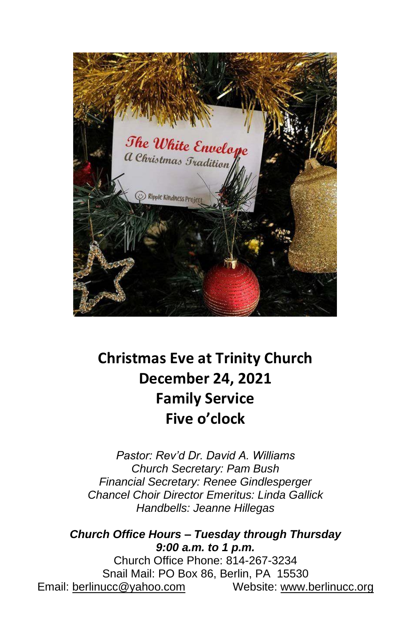

# **Christmas Eve at Trinity Church December 24, 2021 Family Service Five o'clock**

*Pastor: Rev'd Dr. David A. Williams Church Secretary: Pam Bush Financial Secretary: Renee Gindlesperger Chancel Choir Director Emeritus: Linda Gallick Handbells: Jeanne Hillegas*

*Church Office Hours – Tuesday through Thursday 9:00 a.m. to 1 p.m.* Church Office Phone: 814-267-3234 Snail Mail: PO Box 86, Berlin, PA 15530 Email: [berlinucc@yahoo.com](mailto:berlinucc@yahoo.com) Website: [www.berlinucc.org](http://www.berlinucc.org/)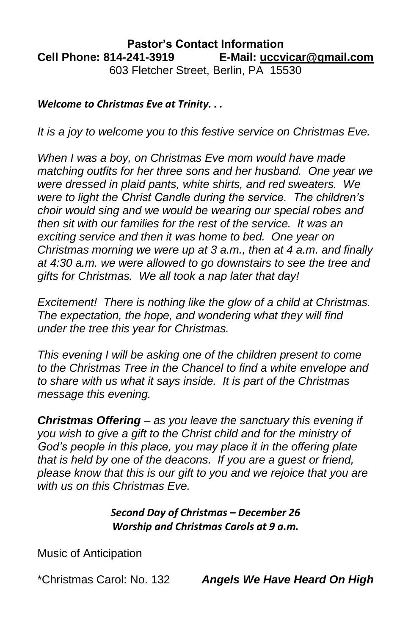#### **Pastor's Contact Information Cell Phone: 814-241-3919 E-Mail: [uccvicar@gmail.com](mailto:uccvicar@gmail.com)** 603 Fletcher Street, Berlin, PA 15530

#### *Welcome to Christmas Eve at Trinity. . .*

*It is a joy to welcome you to this festive service on Christmas Eve.* 

*When I was a boy, on Christmas Eve mom would have made matching outfits for her three sons and her husband. One year we were dressed in plaid pants, white shirts, and red sweaters. We were to light the Christ Candle during the service. The children's choir would sing and we would be wearing our special robes and then sit with our families for the rest of the service. It was an exciting service and then it was home to bed. One year on Christmas morning we were up at 3 a.m., then at 4 a.m. and finally at 4:30 a.m. we were allowed to go downstairs to see the tree and gifts for Christmas. We all took a nap later that day!* 

*Excitement! There is nothing like the glow of a child at Christmas. The expectation, the hope, and wondering what they will find under the tree this year for Christmas.*

*This evening I will be asking one of the children present to come to the Christmas Tree in the Chancel to find a white envelope and to share with us what it says inside. It is part of the Christmas message this evening.*

*Christmas Offering – as you leave the sanctuary this evening if you wish to give a gift to the Christ child and for the ministry of God's people in this place, you may place it in the offering plate that is held by one of the deacons. If you are a guest or friend, please know that this is our gift to you and we rejoice that you are with us on this Christmas Eve.*

> *Second Day of Christmas – December 26 Worship and Christmas Carols at 9 a.m.*

Music of Anticipation

\*Christmas Carol: No. 132 *Angels We Have Heard On High*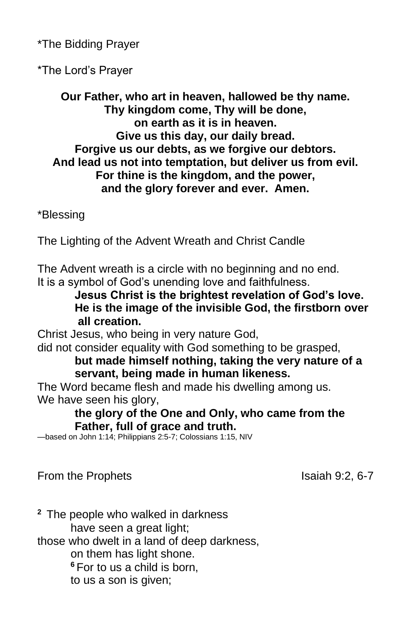\*The Bidding Prayer

\*The Lord's Prayer

**Our Father, who art in heaven, hallowed be thy name. Thy kingdom come, Thy will be done, on earth as it is in heaven. Give us this day, our daily bread. Forgive us our debts, as we forgive our debtors. And lead us not into temptation, but deliver us from evil. For thine is the kingdom, and the power, and the glory forever and ever. Amen.**

\*Blessing

The Lighting of the Advent Wreath and Christ Candle

The Advent wreath is a circle with no beginning and no end. It is a symbol of God's unending love and faithfulness.

**Jesus Christ is the brightest revelation of God's love. He is the image of the invisible God, the firstborn over all creation.** 

Christ Jesus, who being in very nature God,

did not consider equality with God something to be grasped, **but made himself nothing, taking the very nature of a servant, being made in human likeness.**

The Word became flesh and made his dwelling among us. We have seen his glory,

**the glory of the One and Only, who came from the Father, full of grace and truth.** 

—based on John 1:14; Philippians 2:5-7; Colossians 1:15, NIV

From the Prophets **Isaiah 9:2, 6-7** 

**<sup>2</sup>** The people who walked in darkness have seen a great light; those who dwelt in a land of deep darkness, on them has light shone. **<sup>6</sup>** For to us a child is born, to us a son is given;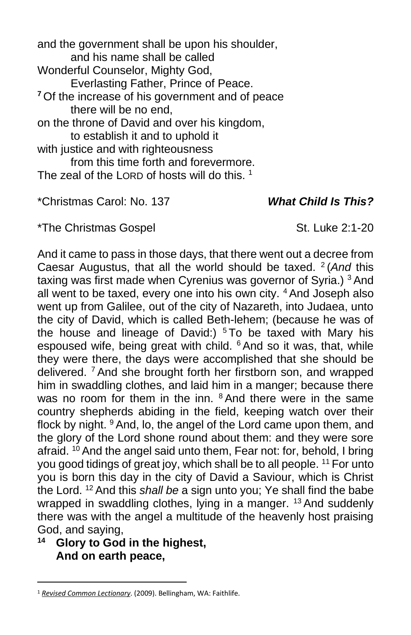and the government shall be upon his shoulder, and his name shall be called Wonderful Counselor, Mighty God, Everlasting Father, Prince of Peace. **<sup>7</sup>** Of the increase of his government and of peace there will be no end, on the throne of David and over his kingdom, to establish it and to uphold it with justice and with righteousness from this time forth and forevermore. The zeal of the LORD of hosts will do this.  $1$ 

\*Christmas Carol: No. 137 *What Child Is This?*

\*The Christmas Gospel St. Luke 2:1-20

And it came to pass in those days, that there went out a decree from Caesar Augustus, that all the world should be taxed. <sup>2</sup> (And this taxing was first made when Cyrenius was governor of Syria.)<sup>3</sup> And all went to be taxed, every one into his own city. <sup>4</sup> And Joseph also went up from Galilee, out of the city of Nazareth, into Judaea, unto the city of David, which is called Beth-lehem; (because he was of the house and lineage of David:)  $5$ To be taxed with Mary his espoused wife, being great with child. <sup>6</sup> And so it was, that, while they were there, the days were accomplished that she should be delivered. <sup>7</sup> And she brought forth her firstborn son, and wrapped him in swaddling clothes, and laid him in a manger; because there was no room for them in the inn. <sup>8</sup> And there were in the same country shepherds abiding in the field, keeping watch over their flock by night. <sup>9</sup> And, lo, the angel of the Lord came upon them, and the glory of the Lord shone round about them: and they were sore afraid. <sup>10</sup> And the angel said unto them, Fear not: for, behold, I bring you good tidings of great joy, which shall be to all people. <sup>11</sup> For unto you is born this day in the city of David a Saviour, which is Christ the Lord. <sup>12</sup> And this *shall be* a sign unto you; Ye shall find the babe wrapped in swaddling clothes, lying in a manger. <sup>13</sup> And suddenly there was with the angel a multitude of the heavenly host praising God, and saying,

# **<sup>14</sup> Glory to God in the highest, And on earth peace,**

<sup>1</sup> *[Revised Common Lectionary](https://ref.ly/logosres/rcl?ref=YearMonthDay.12-24-2021&off=241&ctx=TAMENT%0aIsaiah+9:2%E2%80%937%0a~+%0aPSALM%0aPsalm+96%0a+%0aN)*. (2009). Bellingham, WA: Faithlife.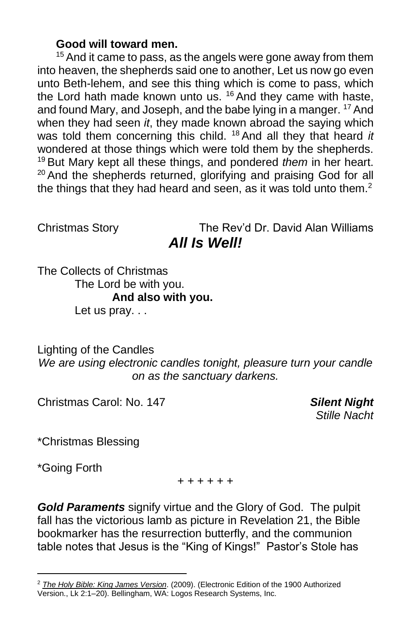#### **Good will toward men.**

<sup>15</sup> And it came to pass, as the angels were gone away from them into heaven, the shepherds said one to another, Let us now go even unto Beth-lehem, and see this thing which is come to pass, which the Lord hath made known unto us. <sup>16</sup> And they came with haste, and found Mary, and Joseph, and the babe lying in a manger. <sup>17</sup> And when they had seen *it*, they made known abroad the saying which was told them concerning this child. <sup>18</sup> And all they that heard *it* wondered at those things which were told them by the shepherds. <sup>19</sup> But Mary kept all these things, and pondered *them* in her heart.  $20$  And the shepherds returned, glorifying and praising God for all the things that they had heard and seen, as it was told unto them.<sup>2</sup>

Christmas Story The Rev'd Dr. David Alan Williams *All Is Well!*

The Collects of Christmas The Lord be with you. **And also with you.** Let us pray...

Lighting of the Candles *We are using electronic candles tonight, pleasure turn your candle on as the sanctuary darkens.*

Christmas Carol: No. 147 *Silent Night*

*Stille Nacht*

\*Christmas Blessing

\*Going Forth

+ + + + + +

*Gold Paraments* signify virtue and the Glory of God. The pulpit fall has the victorious lamb as picture in Revelation 21, the Bible bookmarker has the resurrection butterfly, and the communion table notes that Jesus is the "King of Kings!" Pastor's Stole has

<sup>2</sup> *[The Holy Bible: King James Version](https://ref.ly/logosres/kjv1900?ref=BibleKJV.Lk2.1&off=2&ctx=2+*%EF%BB%BF~And+it+came+to+pass+in+those+days%2c+t)*. (2009). (Electronic Edition of the 1900 Authorized Version., Lk 2:1–20). Bellingham, WA: Logos Research Systems, Inc.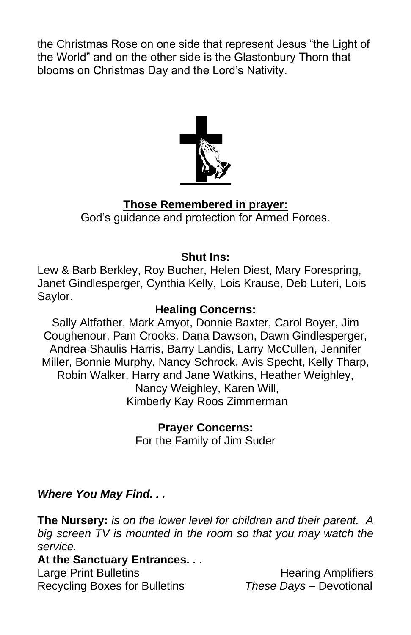the Christmas Rose on one side that represent Jesus "the Light of the World" and on the other side is the Glastonbury Thorn that blooms on Christmas Day and the Lord's Nativity.



### **Those Remembered in prayer:**

God's guidance and protection for Armed Forces.

#### **Shut Ins:**

Lew & Barb Berkley, Roy Bucher, Helen Diest, Mary Forespring, Janet Gindlesperger, Cynthia Kelly, Lois Krause, Deb Luteri, Lois Saylor.

#### **Healing Concerns:**

Sally Altfather, Mark Amyot, Donnie Baxter, Carol Boyer, Jim Coughenour, Pam Crooks, Dana Dawson, Dawn Gindlesperger, Andrea Shaulis Harris, Barry Landis, Larry McCullen, Jennifer Miller, Bonnie Murphy, Nancy Schrock, Avis Specht, Kelly Tharp, Robin Walker, Harry and Jane Watkins, Heather Weighley, Nancy Weighley, Karen Will, Kimberly Kay Roos Zimmerman

> **Prayer Concerns:** For the Family of Jim Suder

#### *Where You May Find. . .*

**The Nursery:** *is on the lower level for children and their parent. A big screen TV is mounted in the room so that you may watch the service.*

#### **At the Sanctuary Entrances. . .**

Large Print Bulletins **Example 20** Hearing Amplifiers Recycling Boxes for Bulletins *These Days –* Devotional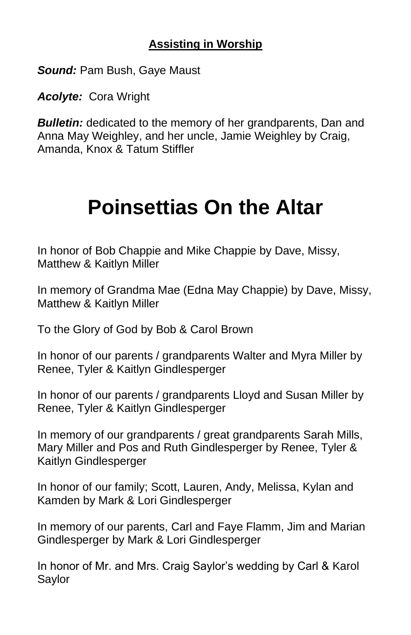# **Assisting in Worship**

*Sound:* Pam Bush, Gaye Maust

*Acolyte:* Cora Wright

**Bulletin:** dedicated to the memory of her grandparents, Dan and Anna May Weighley, and her uncle, Jamie Weighley by Craig, Amanda, Knox & Tatum Stiffler

# **Poinsettias On the Altar**

In honor of Bob Chappie and Mike Chappie by Dave, Missy, Matthew & Kaitlyn Miller

In memory of Grandma Mae (Edna May Chappie) by Dave, Missy, Matthew & Kaitlyn Miller

To the Glory of God by Bob & Carol Brown

In honor of our parents / grandparents Walter and Myra Miller by Renee, Tyler & Kaitlyn Gindlesperger

In honor of our parents / grandparents Lloyd and Susan Miller by Renee, Tyler & Kaitlyn Gindlesperger

In memory of our grandparents / great grandparents Sarah Mills, Mary Miller and Pos and Ruth Gindlesperger by Renee, Tyler & Kaitlyn Gindlesperger

In honor of our family; Scott, Lauren, Andy, Melissa, Kylan and Kamden by Mark & Lori Gindlesperger

In memory of our parents, Carl and Faye Flamm, Jim and Marian Gindlesperger by Mark & Lori Gindlesperger

In honor of Mr. and Mrs. Craig Saylor's wedding by Carl & Karol Saylor